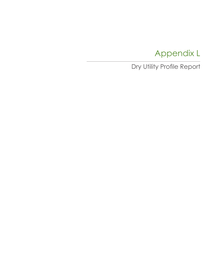### Appendix L

### Dry Utility Profile Report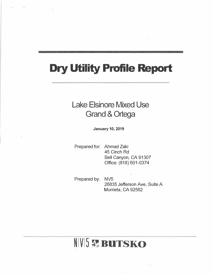## **Dry Utility Profile Report**

### Lake Elsinore Mixed Use Grand & Ortega

**January 10, 2019** 

Prepared for: Ahmad Zaki 45 Cinch Rd Bell Canyon, CA 91307 Office: (818) 601-0374

Prepared by: NV5

26835 Jefferson Ave, Suite A Murrieta, CA 92562

## NIVI5 & BUTSKO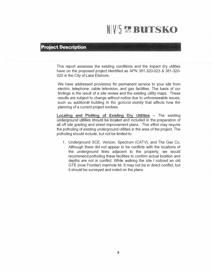## **IVIS r."- BUTSKO**  N

#### **Project Description**

This report assesses the existing conditions and the impact dry utilities have on the proposed project identified as APN 381-320-023 & 381-320- 020 in the City of Lake Elsinore.

We have addressed provisions for permanent service to your site from electric, telephone, cable television, and gas facilities. The basis of our findings is the result of a site review and the existing utility maps. These results are subject to change without notice due to unforeseeable issues, such as additional building in the general vicinity that affects how the planning of a current project evolves.

**Locating and Plotting of Existing** Dry **Utilities** - The existing underground utilities should be located and included in the preparation of all off site grading and street improvement plans. This effort may require the potholing of existing underground utilities in the area of the project. The potholing should include, but not be limited to:

1. Underground SCE, Verizon, Spectrum (CATV), and The Gas Co. Although there did not appear to be conflicts with the locations of the underground lines adjacent to the property, we would recommend potholing these facilities to confirm actual location and depths are not in conflict. While walking the site I noticed an old GTE (now Frontier) manhole lid. It may not be in direct conflict, but it should be surveyed and noted on the plans.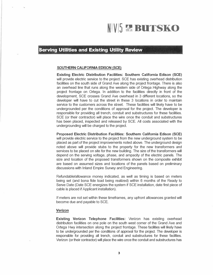# $N/V$ <sup>5</sup> *r.* **BUTSKO</del>**

#### **Serving Utilities and Existing Utility Review**

#### **SOUTHERN CALIFORNIA EDISON (SCE)**

**Existing Electric Distribution Facilities: Southern California Edison (SCE)**  will provide electric service to the project. SCE has existing overhead distribution facilities on the south side of Grand Ave along the project frontage. There is also an overhead line that runs along the western side of Ortega .Highway along the project frontage on Ortega. In addition to the facilities directly in front of the development, SCE crosses Grand Ave overhead in 3 different locations, so the developer will have to cut the street in these 3 locations in order to maintain service to the customers across the street. These facilities will likely have to be undergrounded per the conditions of approval for the project. The developer is responsible for providing all trench, conduit and substructures for these facilities. SCE (or their contractor) will place the wire once the conduit and substructures has been placed, inspected and released by SCE. All costs associated with the undergrounding will be charged to the project.

#### **Proposed Electric Distribution Facilities: Southern California Edison (SCE)**

will provide electric service to the project from the new underground system to be placed as part of the project improvements noted above. The underground design noted above will provide stubs to the property for the new transformers and services to be placed on site for the new building. The size of the transformers will depend on the serving voltage, phase, and ampacity of the electric panels. The size and location of the proposed transformers shown on the composite exhibit are based on assumed sizes and locations of the panels based on preliminary discussions with Inland Empire Survey and Engineering.

Refundable/allowance money indicated, as well as timing is based on meters being set (and bona fide load being realized) within 6 months of the Ready to Serve Date (Date SCE energizes the system if SCE installation, date first piece of cable is placed if Applicant installation).

If meters are not set within these timeframes, any upfront allowances granted will become due and payable to SCE.

#### **Verizon**

**Existing Verizon Telephone Facilities:** Verizon has existing overhead distribution facilities on one pole on the south west corner of the Grand Ave and Ortega Hwy intersection along the project frontage. These facilities will likely have to be undergrounded per the conditions of approval for the project. The developer is responsible for providing all trench, conduit and substructures for these facilities. Verizon (or their contractor) will place the wire once the conduit and substructures has